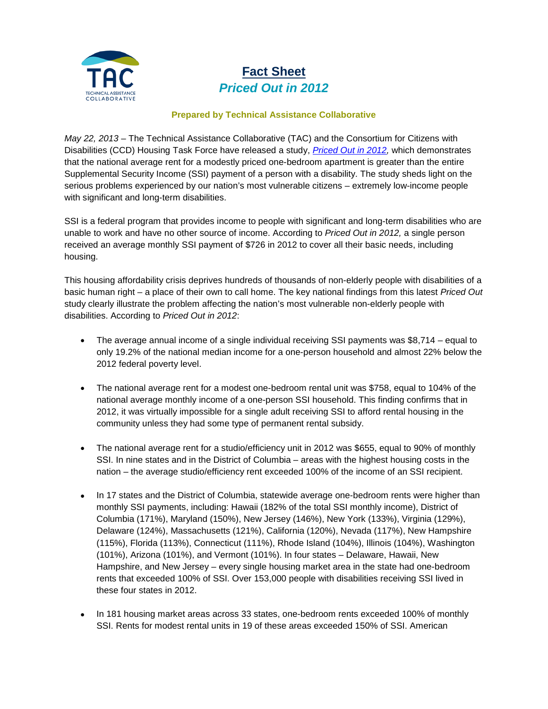

## **Fact Sheet** *Priced Out in 2012*

## **Prepared by Technical Assistance Collaborative**

*May 22, 2013* – The Technical Assistance Collaborative (TAC) and the Consortium for Citizens with Disabilities (CCD) Housing Task Force have released a study, *[Priced Out in 2012,](http://www.tacinc.org/knowledge-resources/priced-out-findings/)* which demonstrates that the national average rent for a modestly priced one-bedroom apartment is greater than the entire Supplemental Security Income (SSI) payment of a person with a disability. The study sheds light on the serious problems experienced by our nation's most vulnerable citizens – extremely low-income people with significant and long-term disabilities.

SSI is a federal program that provides income to people with significant and long-term disabilities who are unable to work and have no other source of income. According to *Priced Out in 2012,* a single person received an average monthly SSI payment of \$726 in 2012 to cover all their basic needs, including housing.

This housing affordability crisis deprives hundreds of thousands of non-elderly people with disabilities of a basic human right – a place of their own to call home. The key national findings from this latest *Priced Out*  study clearly illustrate the problem affecting the nation's most vulnerable non-elderly people with disabilities. According to *Priced Out in 2012*:

- The average annual income of a single individual receiving SSI payments was \$8,714 equal to only 19.2% of the national median income for a one-person household and almost 22% below the 2012 federal poverty level.
- The national average rent for a modest one-bedroom rental unit was \$758, equal to 104% of the national average monthly income of a one-person SSI household. This finding confirms that in 2012, it was virtually impossible for a single adult receiving SSI to afford rental housing in the community unless they had some type of permanent rental subsidy.
- The national average rent for a studio/efficiency unit in 2012 was \$655, equal to 90% of monthly SSI. In nine states and in the District of Columbia – areas with the highest housing costs in the nation – the average studio/efficiency rent exceeded 100% of the income of an SSI recipient.
- In 17 states and the District of Columbia, statewide average one-bedroom rents were higher than monthly SSI payments, including: Hawaii (182% of the total SSI monthly income), District of Columbia (171%), Maryland (150%), New Jersey (146%), New York (133%), Virginia (129%), Delaware (124%), Massachusetts (121%), California (120%), Nevada (117%), New Hampshire (115%), Florida (113%), Connecticut (111%), Rhode Island (104%), Illinois (104%), Washington (101%), Arizona (101%), and Vermont (101%). In four states – Delaware, Hawaii, New Hampshire, and New Jersey – every single housing market area in the state had one-bedroom rents that exceeded 100% of SSI. Over 153,000 people with disabilities receiving SSI lived in these four states in 2012.
- In 181 housing market areas across 33 states, one-bedroom rents exceeded 100% of monthly SSI. Rents for modest rental units in 19 of these areas exceeded 150% of SSI. American